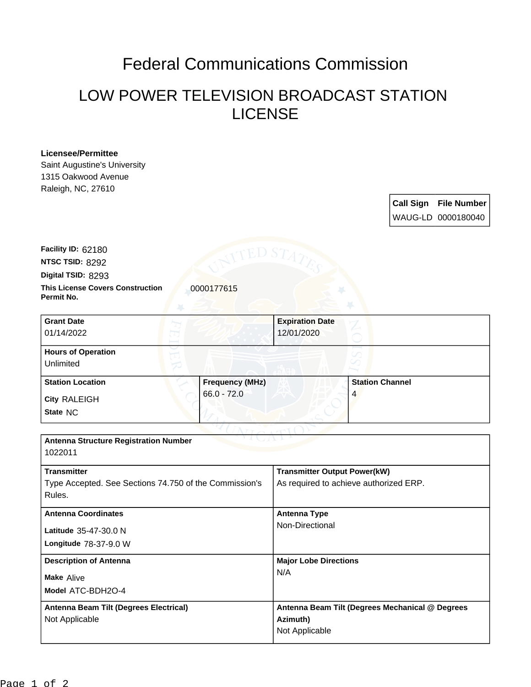## Federal Communications Commission

## LOW POWER TELEVISION BROADCAST STATION LICENSE

## **Licensee/Permittee**

Saint Augustine's University 1315 Oakwood Avenue Raleigh, NC, 27610

> **Call Sign File Number** WAUG-LD 0000180040

**Digital TSID:** 8293 **NTSC TSID:** 8292 **Facility ID:** 62180

**This License Covers Construction**  0000177615 **Permit No.**

**State** NC **City** RALEIGH **Grant Date** 01/14/2022 **Expiration Date** 12/01/2020 **Hours of Operation** Unlimited **Station Location Frequency (MHz)** 66.0 - 72.0 **Station Channel** 4

| <b>Antenna Structure Registration Number</b><br>1022011 |                                                 |  |
|---------------------------------------------------------|-------------------------------------------------|--|
|                                                         |                                                 |  |
| <b>Transmitter</b>                                      | <b>Transmitter Output Power(kW)</b>             |  |
| Type Accepted. See Sections 74.750 of the Commission's  | As required to achieve authorized ERP.          |  |
| Rules.                                                  |                                                 |  |
| <b>Antenna Coordinates</b>                              | <b>Antenna Type</b>                             |  |
| Latitude 35-47-30.0 N                                   | Non-Directional                                 |  |
| Longitude 78-37-9.0 W                                   |                                                 |  |
| <b>Description of Antenna</b>                           | <b>Major Lobe Directions</b>                    |  |
| <b>Make Alive</b>                                       | N/A                                             |  |
| Model ATC-BDH2O-4                                       |                                                 |  |
| Antenna Beam Tilt (Degrees Electrical)                  | Antenna Beam Tilt (Degrees Mechanical @ Degrees |  |
| Not Applicable                                          | Azimuth)                                        |  |
|                                                         | Not Applicable                                  |  |